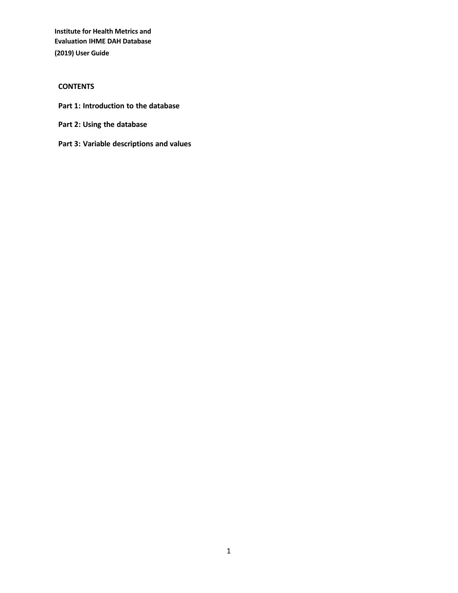## **CONTENTS**

- **Part 1: Introduction to the database**
- **Part 2: Using the database**
- **Part 3: Variable descriptions and values**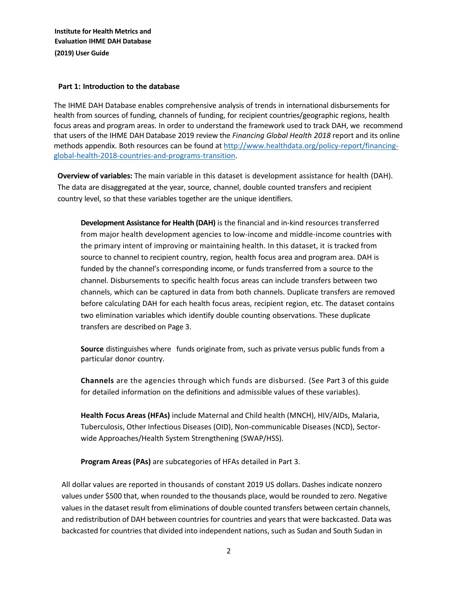#### **Part 1: Introduction to the database**

The IHME DAH Database enables comprehensive analysis of trends in international disbursements for health from sources of funding, channels of funding, for recipient countries/geographic regions, health focus areas and program areas. In order to understand the framework used to track DAH, we recommend that users of the IHME DAH Database 2019 review the *Financing Global Health 2018* report and its online methods appendix. Both resources can be found at [http://www.healthdata.org/policy-report/financing](http://www.healthdata.org/policy-report/financing-global-health-2018-countries-and-programs-transition)[global-health-2018-countries-and-programs-transition.](http://www.healthdata.org/policy-report/financing-global-health-2018-countries-and-programs-transition)

**Overview of variables:** The main variable in this dataset is development assistance for health (DAH). The data are disaggregated at the year, source, channel, double counted transfers and recipient country level, so that these variables together are the unique identifiers.

**Development Assistance for Health (DAH)** is the financial and in-kind resources transferred from major health development agencies to low-income and middle-income countries with the primary intent of improving or maintaining health. In this dataset, it is tracked from source to channel to recipient country, region, health focus area and program area. DAH is funded by the channel's corresponding income, or funds transferred from a source to the channel. Disbursements to specific health focus areas can include transfers between two channels, which can be captured in data from both channels. Duplicate transfers are removed before calculating DAH for each health focus areas, recipient region, etc. The dataset contains two elimination variables which identify double counting observations. These duplicate transfers are described on Page 3.

**Source** distinguishes where funds originate from, such as private versus public funds from a particular donor country.

**Channels** are the agencies through which funds are disbursed. (See Part 3 of this guide for detailed information on the definitions and admissible values of these variables).

**Health Focus Areas (HFAs)** include Maternal and Child health (MNCH), HIV/AIDs, Malaria, Tuberculosis, Other Infectious Diseases (OID), Non-communicable Diseases (NCD), Sectorwide Approaches/Health System Strengthening (SWAP/HSS).

**Program Areas (PAs)** are subcategories of HFAs detailed in Part 3.

All dollar values are reported in thousands of constant 2019 US dollars. Dashes indicate nonzero values under \$500 that, when rounded to the thousands place, would be rounded to zero. Negative values in the dataset result from eliminations of double counted transfers between certain channels, and redistribution of DAH between countries for countries and years that were backcasted. Data was backcasted for countries that divided into independent nations, such as Sudan and South Sudan in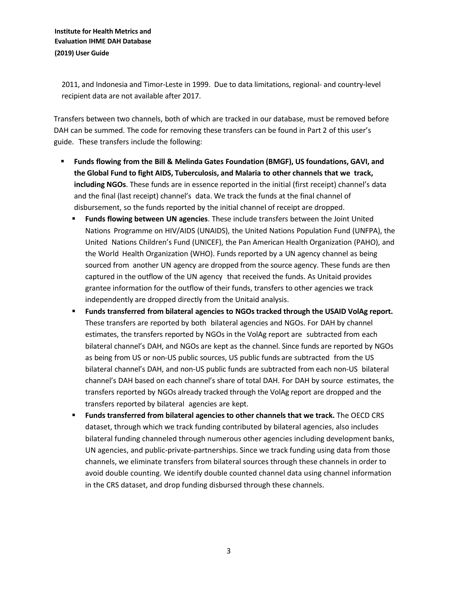2011, and Indonesia and Timor-Leste in 1999. Due to data limitations, regional- and country-level recipient data are not available after 2017.

Transfers between two channels, both of which are tracked in our database, must be removed before DAH can be summed. The code for removing these transfers can be found in Part 2 of this user's guide. These transfers include the following:

- **Funds flowing from the Bill & Melinda Gates Foundation (BMGF), US foundations, GAVI, and the Global Fund to fight AIDS, Tuberculosis, and Malaria to other channels that we track, including NGOs**. These funds are in essence reported in the initial (first receipt) channel's data and the final (last receipt) channel's data. We track the funds at the final channel of disbursement, so the funds reported by the initial channel of receipt are dropped.
	- **Funds flowing between UN agencies**. These include transfers between the Joint United Nations Programme on HIV/AIDS (UNAIDS), the United Nations Population Fund (UNFPA), the United Nations Children's Fund (UNICEF), the Pan American Health Organization (PAHO), and the World Health Organization (WHO). Funds reported by a UN agency channel as being sourced from another UN agency are dropped from the source agency. These funds are then captured in the outflow of the UN agency that received the funds. As Unitaid provides grantee information for the outflow of their funds, transfers to other agencies we track independently are dropped directly from the Unitaid analysis.
	- **Funds transferred from bilateral agencies to NGOs tracked through the USAID VolAg report.** These transfers are reported by both bilateral agencies and NGOs. For DAH by channel estimates, the transfers reported by NGOs in the VolAg report are subtracted from each bilateral channel's DAH, and NGOs are kept as the channel. Since funds are reported by NGOs as being from US or non-US public sources, US public funds are subtracted from the US bilateral channel's DAH, and non-US public funds are subtracted from each non-US bilateral channel's DAH based on each channel's share of total DAH. For DAH by source estimates, the transfers reported by NGOs already tracked through the VolAg report are dropped and the transfers reported by bilateral agencies are kept.
	- **Funds transferred from bilateral agencies to other channels that we track.** The OECD CRS dataset, through which we track funding contributed by bilateral agencies, also includes bilateral funding channeled through numerous other agencies including development banks, UN agencies, and public-private-partnerships. Since we track funding using data from those channels, we eliminate transfers from bilateral sources through these channels in order to avoid double counting. We identify double counted channel data using channel information in the CRS dataset, and drop funding disbursed through these channels.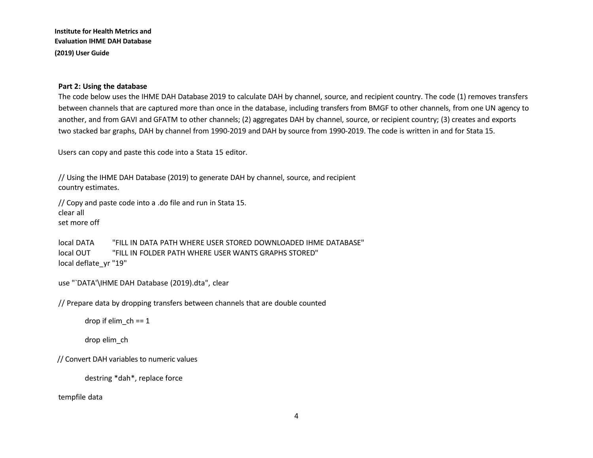#### **Part 2: Using the database**

The code below uses the IHME DAH Database 2019 to calculate DAH by channel, source, and recipient country. The code (1) removes transfers between channels that are captured more than once in the database, including transfers from BMGF to other channels, from one UN agency to another, and from GAVI and GFATM to other channels; (2) aggregates DAH by channel, source, or recipient country; (3) creates and exports two stacked bar graphs, DAH by channel from 1990-2019 and DAH by source from 1990-2019. The code is written in and for Stata 15.

Users can copy and paste this code into a Stata 15 editor.

// Using the IHME DAH Database (2019) to generate DAH by channel, source, and recipient country estimates.

// Copy and paste code into a .do file and run in Stata 15. clear all set more off

local DATA "FILL IN DATA PATH WHERE USER STORED DOWNLOADED IHME DATABASE" local OUT "FILL IN FOLDER PATH WHERE USER WANTS GRAPHS STORED" local deflate\_yr "19"

```
use "`DATA'\IHME DAH Database (2019).dta", clear
```
// Prepare data by dropping transfers between channels that are double counted

drop if elim\_ch == 1

drop elim\_ch

// Convert DAH variables to numeric values

destring \*dah\*, replace force

tempfile data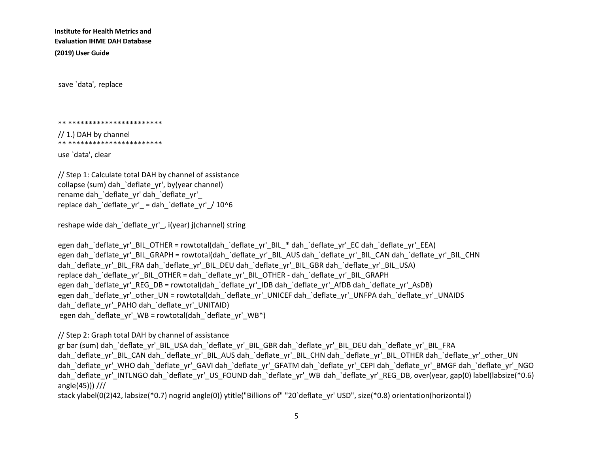save `data', replace

#### \*\* \*\*\*\*\*\*\*\*\*\*\*\*\*\*\*\*\*\*\*\*\*\*\*

// 1.) DAH by channel \*\* \*\*\*\*\*\*\*\*\*\*\*\*\*\*\*\*\*\*\*\*\*\*\*

use `data', clear

// Step 1: Calculate total DAH by channel of assistance collapse (sum) dah\_`deflate\_yr', by(year channel) rename dah\_`deflate\_yr' dah\_`deflate\_yr'\_ replace dah `deflate\_yr' = dah `deflate\_yr' / 10^6

reshape wide dah\_`deflate\_yr'\_, i(year) j(channel) string

```
egen dah `deflate_yr'_BIL_OTHER = rowtotal(dah_`deflate_yr'_BIL_* dah_`deflate_yr'_EC dah_`deflate_yr'_EEA)
egen dah `deflate_yr'_BIL_GRAPH = rowtotal(dah_`deflate_yr'_BIL_AUS dah_`deflate_yr'_BIL_CAN dah_`deflate_yr'_BIL_CHN
dah `deflate_yr'_BIL_FRA dah_`deflate_yr'_BIL_DEU dah_`deflate_yr'_BIL_GBR dah_`deflate_yr'_BIL_USA)
replace dah_`deflate_yr'_BIL_OTHER = dah_`deflate_yr'_BIL_OTHER - dah_`deflate_yr'_BIL_GRAPH
egen dah `deflate_yr'_REG_DB = rowtotal(dah_`deflate_yr'_IDB dah_`deflate_yr'_AfDB dah_`deflate_yr'_AsDB)
egen dah `deflate_yr'_other_UN = rowtotal(dah_`deflate_yr'_UNICEF dah_`deflate_yr'_UNFPA dah_`deflate_yr'_UNAIDS
dah `deflate_yr'_PAHO dah `deflate_yr'_UNITAID)
egen dah `deflate_yr'_WB = rowtotal(dah_`deflate_yr'_WB*)
```
// Step 2: Graph total DAH by channel of assistance

gr bar (sum) dah `deflate\_yr'\_BIL\_USA dah\_`deflate\_yr'\_BIL\_GBR dah\_`deflate\_yr'\_BIL\_DEU dah\_`deflate\_yr'\_BIL\_FRA dah `deflate\_yr'\_BIL\_CAN dah\_`deflate\_yr'\_BIL\_AUS dah\_`deflate\_yr'\_BIL\_CHN dah\_`deflate\_yr'\_BIL\_OTHER dah\_`deflate\_yr'\_other\_UN dah `deflate\_yr'\_WHO dah\_`deflate\_yr'\_GAVI dah\_`deflate\_yr'\_GFATM dah\_`deflate\_yr'\_CEPI dah\_`deflate\_yr'\_BMGF dah\_`deflate\_yr'\_NGO dah `deflate\_yr'\_INTLNGO dah\_`deflate\_yr'\_US\_FOUND dah\_`deflate\_yr'\_WB dah\_`deflate\_yr'\_REG\_DB, over(year, gap(0) label(labsize(\*0.6) angle(45))) ///

stack ylabel(0(2)42, labsize(\*0.7) nogrid angle(0)) ytitle("Billions of" "20`deflate\_yr' USD", size(\*0.8) orientation(horizontal))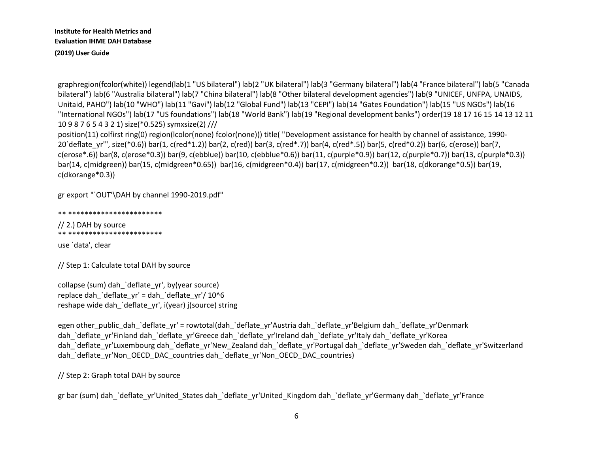graphregion(fcolor(white)) legend(lab(1 "US bilateral") lab(2 "UK bilateral") lab(3 "Germany bilateral") lab(4 "France bilateral") lab(5 "Canada bilateral") lab(6 "Australia bilateral") lab(7 "China bilateral") lab(8 "Other bilateral development agencies") lab(9 "UNICEF, UNFPA, UNAIDS, Unitaid, PAHO") lab(10 "WHO") lab(11 "Gavi") lab(12 "Global Fund") lab(13 "CEPI") lab(14 "Gates Foundation") lab(15 "US NGOs") lab(16 "International NGOs") lab(17 "US foundations") lab(18 "World Bank") lab(19 "Regional development banks") order(19 18 17 16 15 14 13 12 11 10 9 8 7 6 5 4 3 2 1) size(\*0.525) symxsize(2) ///

position(11) colfirst ring(0) region(lcolor(none) fcolor(none))) title( "Development assistance for health by channel of assistance, 1990- 20'deflate\_yr'", size(\*0.6)) bar(1, c(red\*1.2)) bar(2, c(red)) bar(3, c(red\*.7)) bar(4, c(red\*.5)) bar(5, c(red\*0.2)) bar(6, c(erose)) bar(7, c(erose\*.6)) bar(8, c(erose\*0.3)) bar(9, c(ebblue)) bar(10, c(ebblue\*0.6)) bar(11, c(purple\*0.9)) bar(12, c(purple\*0.7)) bar(13, c(purple\*0.3)) bar(14, c(midgreen)) bar(15, c(midgreen\*0.65)) bar(16, c(midgreen\*0.4)) bar(17, c(midgreen\*0.2)) bar(18, c(dkorange\*0.5)) bar(19, c(dkorange\*0.3))

gr export "`OUT'\DAH by channel 1990-2019.pdf"

```
** ***********************
```

```
// 2.) DAH by source
** ***********************
```
use `data', clear

// Step 1: Calculate total DAH by source

collapse (sum) dah\_`deflate\_yr', by(year source) replace dah\_`deflate\_yr' = dah\_`deflate\_yr'/ 10^6 reshape wide dah `deflate\_yr', i(year) j(source) string

egen other public dah `deflate yr' = rowtotal(dah `deflate yr'Austria dah `deflate yr'Belgium dah `deflate yr'Denmark dah `deflate\_yr'Finland dah\_`deflate\_yr'Greece dah\_`deflate\_yr'Ireland dah\_`deflate\_yr'Italy dah\_`deflate\_yr'Korea dah `deflate\_yr'Luxembourg dah `deflate\_yr'New\_Zealand dah\_`deflate\_yr'Portugal dah\_`deflate\_yr'Sweden dah\_`deflate\_yr'Switzerland dah `deflate\_yr'Non\_OECD\_DAC\_countries dah\_`deflate\_yr'Non\_OECD\_DAC\_countries)

// Step 2: Graph total DAH by source

gr bar (sum) dah\_`deflate\_yr'United\_States dah\_`deflate\_yr'United\_Kingdom dah\_`deflate\_yr'Germany dah\_`deflate\_yr'France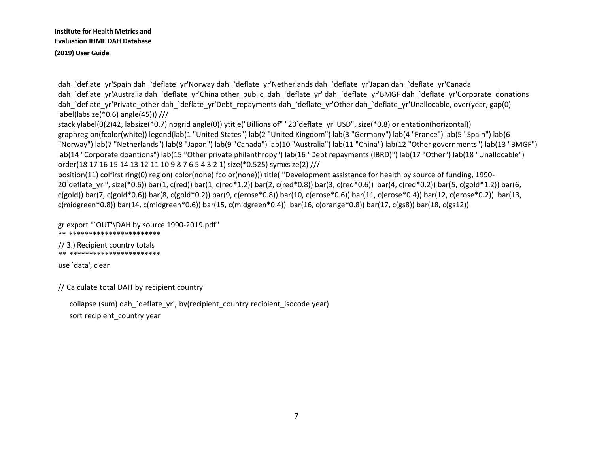dah\_`deflate\_yr'Spain dah\_`deflate\_yr'Norway dah\_`deflate\_yr'Netherlands dah\_`deflate\_yr'Japan dah\_`deflate\_yr'Canada dah `deflate\_yr'Australia dah `deflate\_yr'China other\_public\_dah\_`deflate\_yr' dah\_`deflate\_yr'BMGF dah\_`deflate\_yr'Corporate\_donations dah `deflate\_yr'Private\_other dah\_`deflate\_yr'Debt\_repayments dah\_`deflate\_yr'Other dah\_`deflate\_yr'Unallocable, over(year, gap(0) label(labsize(\*0.6) angle(45))) ///

stack ylabel(0(2)42, labsize(\*0.7) nogrid angle(0)) ytitle("Billions of" "20`deflate\_yr' USD", size(\*0.8) orientation(horizontal)) graphregion(fcolor(white)) legend(lab(1 "United States") lab(2 "United Kingdom") lab(3 "Germany") lab(4 "France") lab(5 "Spain") lab(6 "Norway") lab(7 "Netherlands") lab(8 "Japan") lab(9 "Canada") lab(10 "Australia") lab(11 "China") lab(12 "Other governments") lab(13 "BMGF") lab(14 "Corporate doantions") lab(15 "Other private philanthropy") lab(16 "Debt repayments (IBRD)") lab(17 "Other") lab(18 "Unallocable") order(18 17 16 15 14 13 12 11 10 9 8 7 6 5 4 3 2 1) size(\*0.525) symxsize(2) ///

position(11) colfirst ring(0) region(lcolor(none) fcolor(none))) title( "Development assistance for health by source of funding, 1990- 20'deflate\_yr'", size(\*0.6)) bar(1, c(red)) bar(1, c(red\*1.2)) bar(2, c(red\*0.8)) bar(3, c(red\*0.6)) bar(4, c(red\*0.2)) bar(5, c(gold\*1.2)) bar(6, c(gold)) bar(7, c(gold\*0.6)) bar(8, c(gold\*0.2)) bar(9, c(erose\*0.8)) bar(10, c(erose\*0.6)) bar(11, c(erose\*0.4)) bar(12, c(erose\*0.2)) bar(13, c(midgreen\*0.8)) bar(14, c(midgreen\*0.6)) bar(15, c(midgreen\*0.4)) bar(16, c(orange\*0.8)) bar(17, c(gs8)) bar(18, c(gs12))

gr export "`OUT'\DAH by source 1990-2019.pdf" \*\* \*\*\*\*\*\*\*\*\*\*\*\*\*\*\*\*\*\*\*\*\*\*\*

// 3.) Recipient country totals \*\* \*\*\*\*\*\*\*\*\*\*\*\*\*\*\*\*\*\*\*\*\*\*\*

use `data', clear

// Calculate total DAH by recipient country

collapse (sum) dah\_`deflate\_yr', by(recipient\_country recipient\_isocode year) sort recipient country year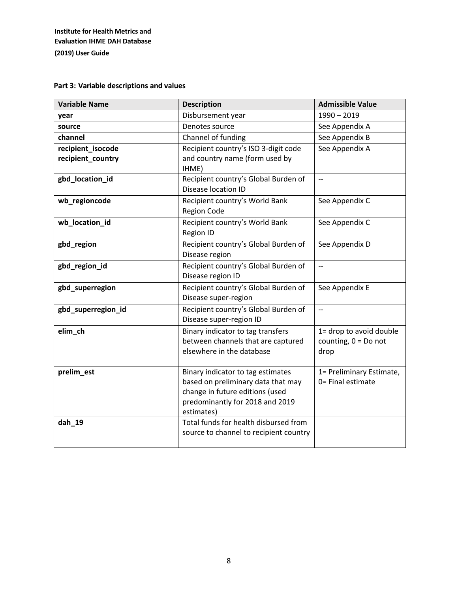# **Part 3: Variable descriptions and values**

| <b>Variable Name</b>                   | <b>Description</b>                                                                                                                                          | <b>Admissible Value</b>                                   |
|----------------------------------------|-------------------------------------------------------------------------------------------------------------------------------------------------------------|-----------------------------------------------------------|
| year                                   | Disbursement year                                                                                                                                           | $1990 - 2019$                                             |
| source                                 | Denotes source                                                                                                                                              | See Appendix A                                            |
| channel                                | Channel of funding                                                                                                                                          | See Appendix B                                            |
| recipient_isocode<br>recipient_country | Recipient country's ISO 3-digit code<br>and country name (form used by<br>IHME)                                                                             | See Appendix A                                            |
| gbd_location_id                        | Recipient country's Global Burden of<br>Disease location ID                                                                                                 | $\overline{\phantom{a}}$                                  |
| wb_regioncode                          | Recipient country's World Bank<br><b>Region Code</b>                                                                                                        | See Appendix C                                            |
| wb_location_id                         | Recipient country's World Bank<br>Region ID                                                                                                                 | See Appendix C                                            |
| gbd_region                             | Recipient country's Global Burden of<br>Disease region                                                                                                      | See Appendix D                                            |
| gbd_region_id                          | Recipient country's Global Burden of<br>Disease region ID                                                                                                   | $\overline{\phantom{a}}$                                  |
| gbd_superregion                        | Recipient country's Global Burden of<br>Disease super-region                                                                                                | See Appendix E                                            |
| gbd_superregion_id                     | Recipient country's Global Burden of<br>Disease super-region ID                                                                                             | $\overline{\phantom{a}}$                                  |
| elim_ch                                | Binary indicator to tag transfers<br>between channels that are captured<br>elsewhere in the database                                                        | 1= drop to avoid double<br>counting, $0 = Do$ not<br>drop |
| prelim_est                             | Binary indicator to tag estimates<br>based on preliminary data that may<br>change in future editions (used<br>predominantly for 2018 and 2019<br>estimates) | 1= Preliminary Estimate,<br>0= Final estimate             |
| dah_19                                 | Total funds for health disbursed from<br>source to channel to recipient country                                                                             |                                                           |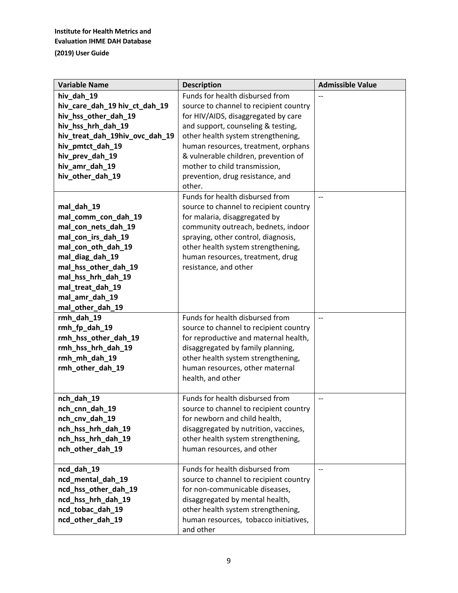| <b>Variable Name</b>             | <b>Description</b>                                                     | <b>Admissible Value</b>  |
|----------------------------------|------------------------------------------------------------------------|--------------------------|
| hiv_dah_19                       | Funds for health disbursed from                                        |                          |
| hiv_care_dah_19 hiv_ct_dah_19    | source to channel to recipient country                                 |                          |
| hiv_hss_other_dah_19             | for HIV/AIDS, disaggregated by care                                    |                          |
| hiv_hss_hrh_dah_19               | and support, counseling & testing,                                     |                          |
| hiv_treat_dah_19hiv_ovc_dah_19   | other health system strengthening,                                     |                          |
| hiv_pmtct_dah_19                 | human resources, treatment, orphans                                    |                          |
| hiv_prev_dah_19                  | & vulnerable children, prevention of                                   |                          |
| hiv_amr_dah_19                   | mother to child transmission,                                          |                          |
| hiv_other_dah_19                 | prevention, drug resistance, and                                       |                          |
|                                  | other.                                                                 |                          |
|                                  | Funds for health disbursed from                                        | $\overline{a}$           |
| mal_dah_19                       | source to channel to recipient country                                 |                          |
| mal_comm_con_dah_19              | for malaria, disaggregated by                                          |                          |
| mal_con_nets_dah_19              | community outreach, bednets, indoor                                    |                          |
| mal_con_irs_dah_19               | spraying, other control, diagnosis,                                    |                          |
| mal_con_oth_dah_19               | other health system strengthening,                                     |                          |
| mal_diag_dah_19                  | human resources, treatment, drug                                       |                          |
| mal_hss_other_dah_19             | resistance, and other                                                  |                          |
| mal_hss_hrh_dah_19               |                                                                        |                          |
| mal_treat_dah_19                 |                                                                        |                          |
| mal_amr_dah_19                   |                                                                        |                          |
| mal_other_dah_19                 |                                                                        |                          |
| rmh_dah_19                       | Funds for health disbursed from                                        | $\overline{\phantom{a}}$ |
| rmh_fp_dah_19                    | source to channel to recipient country                                 |                          |
| rmh_hss_other_dah_19             | for reproductive and maternal health,                                  |                          |
| rmh_hss_hrh_dah_19               | disaggregated by family planning,                                      |                          |
| rmh_mh_dah_19                    | other health system strengthening,                                     |                          |
| rmh_other_dah_19                 | human resources, other maternal                                        |                          |
|                                  | health, and other                                                      |                          |
|                                  | Funds for health disbursed from                                        |                          |
| nch_dah_19                       |                                                                        | $-$                      |
| nch_cnn_dah_19<br>nch_cnv_dah_19 | source to channel to recipient country                                 |                          |
| nch_hss_hrh_dah_19               | for newborn and child health,<br>disaggregated by nutrition, vaccines, |                          |
| nch_hss_hrh_dah_19               | other health system strengthening,                                     |                          |
| nch_other_dah_19                 | human resources, and other                                             |                          |
|                                  |                                                                        |                          |
| ncd_dah_19                       | Funds for health disbursed from                                        | $\overline{\phantom{a}}$ |
| ncd_mental_dah_19                | source to channel to recipient country                                 |                          |
| ncd_hss_other_dah_19             | for non-communicable diseases,                                         |                          |
| ncd_hss_hrh_dah_19               | disaggregated by mental health,                                        |                          |
| ncd_tobac_dah_19                 | other health system strengthening,                                     |                          |
| ncd_other_dah_19                 | human resources, tobacco initiatives,                                  |                          |
|                                  | and other                                                              |                          |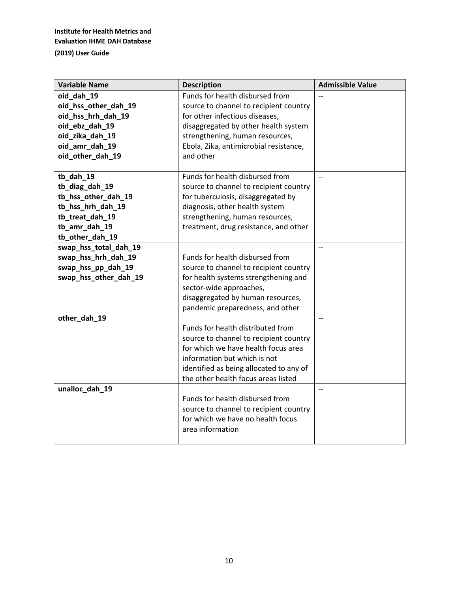| <b>Variable Name</b>  | <b>Description</b>                      | <b>Admissible Value</b>  |
|-----------------------|-----------------------------------------|--------------------------|
| oid_dah_19            | Funds for health disbursed from         |                          |
| oid_hss_other_dah_19  | source to channel to recipient country  |                          |
| oid_hss_hrh_dah_19    | for other infectious diseases,          |                          |
| oid_ebz_dah_19        | disaggregated by other health system    |                          |
| oid zika dah 19       | strengthening, human resources,         |                          |
| oid_amr_dah_19        | Ebola, Zika, antimicrobial resistance,  |                          |
| oid_other_dah_19      | and other                               |                          |
|                       |                                         |                          |
| tb_dah_19             | Funds for health disbursed from         | $\overline{\phantom{a}}$ |
| tb_diag_dah_19        | source to channel to recipient country  |                          |
| tb_hss_other_dah_19   | for tuberculosis, disaggregated by      |                          |
| tb_hss_hrh_dah_19     | diagnosis, other health system          |                          |
| tb_treat_dah_19       | strengthening, human resources,         |                          |
| tb_amr_dah_19         | treatment, drug resistance, and other   |                          |
| tb_other_dah_19       |                                         |                          |
| swap_hss_total_dah_19 |                                         | $-$                      |
| swap_hss_hrh_dah_19   | Funds for health disbursed from         |                          |
| swap_hss_pp_dah_19    | source to channel to recipient country  |                          |
| swap_hss_other_dah_19 | for health systems strengthening and    |                          |
|                       | sector-wide approaches,                 |                          |
|                       | disaggregated by human resources,       |                          |
|                       | pandemic preparedness, and other        |                          |
| other_dah_19          |                                         | $\overline{\phantom{a}}$ |
|                       | Funds for health distributed from       |                          |
|                       | source to channel to recipient country  |                          |
|                       | for which we have health focus area     |                          |
|                       | information but which is not            |                          |
|                       | identified as being allocated to any of |                          |
|                       | the other health focus areas listed     |                          |
| unalloc_dah_19        |                                         |                          |
|                       | Funds for health disbursed from         |                          |
|                       | source to channel to recipient country  |                          |
|                       | for which we have no health focus       |                          |
|                       | area information                        |                          |
|                       |                                         |                          |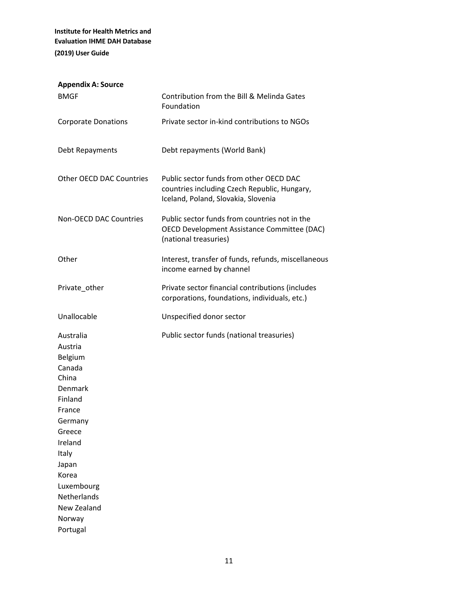| Contribution from the Bill & Melinda Gates<br>Foundation                                                                       |
|--------------------------------------------------------------------------------------------------------------------------------|
| Private sector in-kind contributions to NGOs                                                                                   |
| Debt repayments (World Bank)                                                                                                   |
| Public sector funds from other OECD DAC<br>countries including Czech Republic, Hungary,<br>Iceland, Poland, Slovakia, Slovenia |
| Public sector funds from countries not in the<br>OECD Development Assistance Committee (DAC)<br>(national treasuries)          |
| Interest, transfer of funds, refunds, miscellaneous<br>income earned by channel                                                |
| Private sector financial contributions (includes<br>corporations, foundations, individuals, etc.)                              |
| Unspecified donor sector                                                                                                       |
| Public sector funds (national treasuries)                                                                                      |
|                                                                                                                                |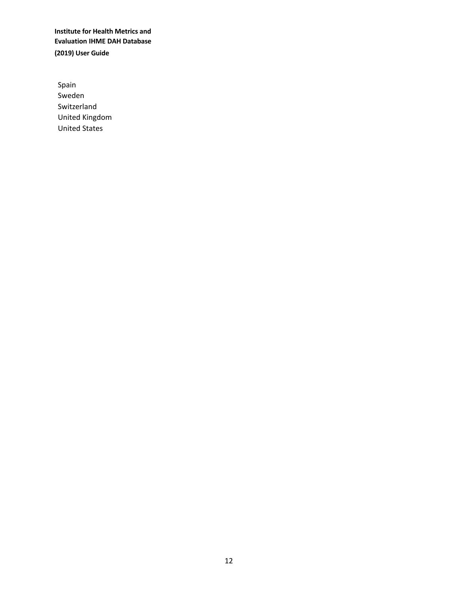Spain Sweden Switzerland United Kingdom United States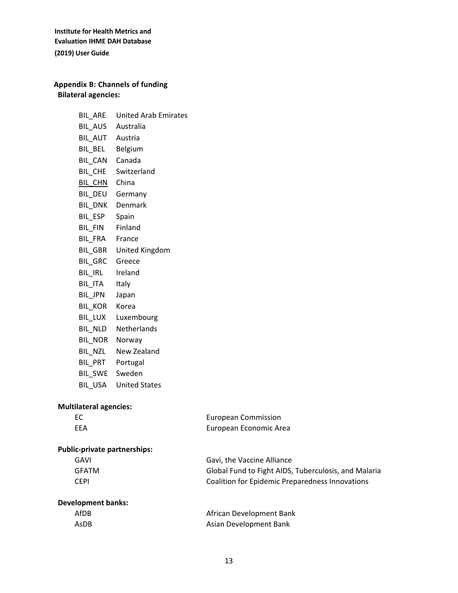# **Appendix B: Channels of funding Bilateral agencies:**

| BIL_ARE           | <b>United Arab Emirates</b> |
|-------------------|-----------------------------|
| BIL_AUS Australia |                             |
| BIL_AUT Austria   |                             |
| BIL_BEL Belgium   |                             |
| BIL_CAN Canada    |                             |
|                   | BIL_CHE Switzerland         |
| BIL_CHN China     |                             |
|                   | BIL_DEU Germany             |
|                   | BIL_DNK Denmark             |
| BIL_ESP Spain     |                             |
| BIL_FIN Finland   |                             |
| BIL FRA France    |                             |
|                   | BIL_GBR United Kingdom      |
| BIL_GRC Greece    |                             |
| BIL_IRL Ireland   |                             |
| BIL_ITA Italy     |                             |
| BIL_JPN Japan     |                             |
| BIL KOR Korea     |                             |
|                   | BIL_LUX Luxembourg          |
|                   | BIL NLD Netherlands         |
| BIL_NOR Norway    |                             |
|                   | BIL NZL New Zealand         |
| BIL_PRT Portugal  |                             |
| BIL_SWE Sweden    |                             |
|                   | BIL_USA United States       |
|                   |                             |

# **Multilateral agencies:**

| EC                                  | <b>European Commission</b>                             |
|-------------------------------------|--------------------------------------------------------|
| <b>EEA</b>                          | European Economic Area                                 |
| <b>Public-private partnerships:</b> |                                                        |
| GAVI                                | Gavi, the Vaccine Alliance                             |
| <b>GFATM</b>                        | Global Fund to Fight AIDS, Tuberculosis, and Malaria   |
| <b>CEPI</b>                         | <b>Coalition for Epidemic Preparedness Innovations</b> |

## **Development banks:**

| AfDB | African Development Bank |
|------|--------------------------|
| AsDB | Asian Development Bank   |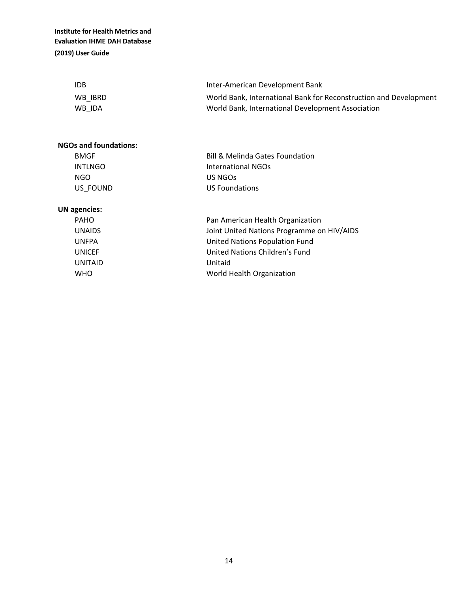| <b>IDB</b> | Inter-American Development Bank                                   |
|------------|-------------------------------------------------------------------|
| WB IBRD    | World Bank, International Bank for Reconstruction and Development |
| WB IDA     | World Bank, International Development Association                 |

## **NGOs and foundations:**

| <b>BMGF</b> | <b>Bill &amp; Melinda Gates Foundation</b> |
|-------------|--------------------------------------------|
| INTLNGO     | International NGOs                         |
| NGO         | US NGOS                                    |
| US FOUND    | US Foundations                             |

# **UN agencies:**

| PAHO    | Pan American Health Organization           |
|---------|--------------------------------------------|
| UNAIDS  | Joint United Nations Programme on HIV/AIDS |
| UNFPA   | United Nations Population Fund             |
| UNICEF  | United Nations Children's Fund             |
| UNITAID | Unitaid                                    |
| WHO     | World Health Organization                  |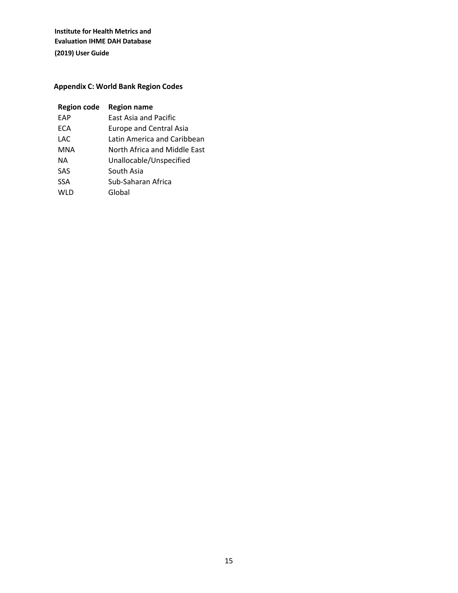# **Appendix C: World Bank Region Codes**

| <b>Region code</b> | <b>Region name</b>             |
|--------------------|--------------------------------|
| <b>EAP</b>         | <b>East Asia and Pacific</b>   |
| ECA                | <b>Europe and Central Asia</b> |
| LAC                | Latin America and Caribbean    |
| MNA                | North Africa and Middle East   |
| NA.                | Unallocable/Unspecified        |
| <b>SAS</b>         | South Asia                     |
| <b>SSA</b>         | Sub-Saharan Africa             |
| WLD                | Global                         |
|                    |                                |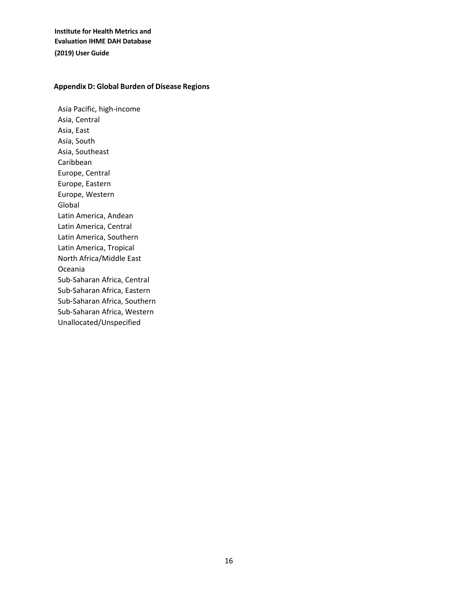### **Appendix D: Global Burden of Disease Regions**

Asia Pacific, high-income Asia, Central Asia, East Asia, South Asia, Southeast Caribbean Europe, Central Europe, Eastern Europe, Western Global Latin America, Andean Latin America, Central Latin America, Southern Latin America, Tropical North Africa/Middle East Oceania Sub-Saharan Africa, Central Sub-Saharan Africa, Eastern Sub-Saharan Africa, Southern Sub-Saharan Africa, Western Unallocated/Unspecified